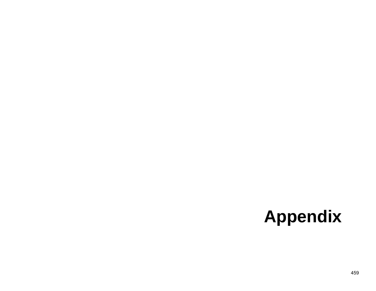## **Appendix**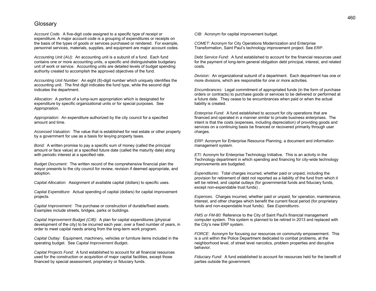## **Glossary**

*Account Code.* A five-digit code assigned to a specific type of receipt or expenditure. A major account code is a grouping of expenditures or receipts on the basis of the types of goods or services purchased or rendered. For example, personnel services, materials, supplies, and equipment are major account codes.

*Accounting Unit (AU):* An accounting unit is a subunit of a fund. Each fund contains one or more accounting units, a specific and distinguishable budgetary unit of work or service. Accounting units are detailed levels of budget spending authority created to accomplish the approved objectives of the fund.

*Accounting Unit Number:* An eight (8)-digit number which uniquely identifies the accounting unit. The first digit indicates the fund type, while the second digit indicates the department.

*Allocation:* A portion of a lump-sum appropriation which is designated for expenditure by specific organizational units or for special purposes. See *Appropriation.*

*Appropriation:* An expenditure authorized by the city council for a specified amount and time.

*Assessed Valuation:* The value that is established for real estate or other property by a government for use as a basis for levying property taxes.

*Bond:* A written promise to pay a specific sum of money (called the principal amount or face value) at a specified future date (called the maturity date) along with periodic interest at a specified rate.

*Budget Document:* The written record of the comprehensive financial plan the mayor presents to the city council for review, revision if deemed appropriate, and adoption.

*Capital Allocation:* Assignment of available capital (dollars) to specific uses.

*Capital Expenditure:* Actual spending of capital (dollars) for capital improvement projects.

*Capital Improvement:* The purchase or construction of durable/fixed assets. Examples include streets, bridges, parks or buildings.

*Capital Improvement Budget (CIB):* A plan for capital expenditures (physical development of the city) to be incurred each year, over a fixed number of years, in order to meet capital needs arising from the long-term work program.

*Capital Outlay:* Equipment, machinery, vehicles or furniture items included in the operating budget. See *Capital Improvement Budget***.**

*Capital Projects Fund:* A fund established to account for all financial resources used for the construction or acquisition of major capital facilities, except those financed by special assessment, proprietary or fiduciary funds.

*CIB:* Acronym for capital improvement budget.

*COMET*: Acronym for City Operations Modernization and Enterprise Transformation, Saint Paul's technology improvement project. See *ERP*.

*Debt Service Fund:* A fund established to account for the financial resources used for the payment of long-term general obligation debt principal, interest, and related costs.

*Division:* An organizational subunit of a department. Each department has one or more divisions, which are responsible for one or more activities.

*Encumbrances:* Legal commitment of appropriated funds (in the form of purchase orders or contracts) to purchase goods or services to be delivered or performed at a future date. They cease to be encumbrances when paid or when the actual liability is created.

*Enterprise Fund:* A fund established to account for city operations that are financed and operated in a manner similar to private business enterprises. The intent is that the costs (expenses, including depreciation) of providing goods and services on a continuing basis be financed or recovered primarily through user charges.

*ERP:* Acronym for Enterprise Resource Planning, a document and information management system.

*ETI:* Acronym for Enterprise Technology Initiative. This is an activity in the Technology department in which spending and financing for city-wide technology improvements are budgeted.

*Expenditures:* Total charges incurred, whether paid or unpaid, including the provision for retirement of debt not reported as a liability of the fund from which it will be retired, and capital outlays (for governmental funds and fiduciary funds, except non-expendable trust funds) .

*Expenses.* Charges incurred, whether paid or unpaid, for operation, maintenance, interest, and other charges which benefit the current fiscal period (for proprietary funds and non-expendable trust funds). See *Expenditures*.

*FMS or FM-80:* Reference to the City of Saint Paul's financial management computer system. This system is planned to be retired in 2013 and replaced with the City's new ERP system.

*FORCE:* Acronym for focusing our resources on community empowerment. This is a unit within the Police Department dedicated to combat problems, at the neighborhood level, of street level narcotics, problem properties and disruptive behavior.

*Fiduciary Fund:* A fund established to account for resources held for the benefit of parties outside the government.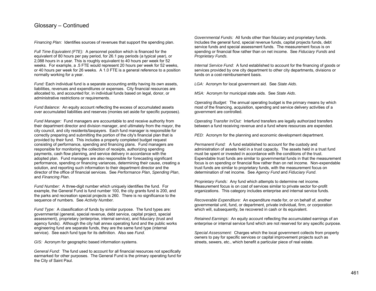## Glossary – Continued

*Financing Plan:* Identifies sources of revenues that support the spending plan.

*Full Time Equivalent (FTE):* A personnel position which is financed for the equivalent of 80 hours per pay period, for 26.1 pay periods (a typical year), or 2,088 hours in a year. This is roughly equivalent to 40 hours per week for 52 weeks. For example, a .5 FTE would represent 20 hours per week for 52 weeks, or 40 hours per week for 26 weeks. A 1.0 FTE is a general reference to a position normally working for a year.

*Fund:* Each individual fund is a separate accounting entity having its own assets, liabilities, revenues and expenditures or expenses. City financial resources are allocated to, and accounted for, in individual funds based on legal, donor, or administrative restrictions or requirements.

*Fund Balance:* An equity account reflecting the excess of accumulated assets over accumulated liabilities and reserves (monies set aside for specific purposes).

*Fund Manager:* Fund managers are accountable to and receive authority from their department director and division manager, and ultimately from the mayor, the city council, and city residents/taxpayers. Each fund manager is responsible for correctly preparing and submitting the portion of the city's financial plan that is provided by their fund. This includes a properly completed budget request consisting of performance, spending and financing plans. Fund managers are responsible for monitoring the collection of receipts, authorizing spending payments, cash flow planning, and service delivery in accordance with the adopted plan. Fund managers are also responsible for forecasting significant performance, spending or financing variances, determining their cause, creating a solution, and reporting such information to their department director and the director of the office of financial services. See *Performance Plan*, *Spending Plan*, and *Financing Plan*.

*Fund Number:* A three-digit number which uniquely identifies the fund. For example, the General Fund is fund number 100, the city grants fund is 200, and the parks and recreation special projects is 260. There is no significance to the sequence of numbers. See *Activity Number.*

*Fund Type:* A classification of funds by similar purpose. The fund types are: governmental (general, special revenue, debt service, capital project, special assessment), proprietary (enterprise, internal service), and fiduciary (trust and agency funds). Although the city hall annex operating fund and the public works engineering fund are separate funds, they are the same fund type (internal service). See each fund type for its definition. Also see *Fund*.

*GIS:* Acronym for geographic based information systems.

*General Fund:* The fund used to account for all financial resources not specifically earmarked for other purposes. The General Fund is the primary operating fund for the City of Saint Paul.

*Governmental Funds:* All funds other than fiduciary and proprietary funds. Includes the general fund, special revenue funds, capital projects funds, debt service funds and special assessment funds. The measurement focus is on spending or financial flow rather than on net income. See *Fiduciary Funds* and *Proprietary Funds.*

*Internal Service Fund:* A fund established to account for the financing of goods or services provided by one city department to other city departments, divisions or funds on a cost-reimbursement basis.

*LGA:* Acronym for local government aid. See *State Aids*.

*MSA:* Acronym for municipal state aids. See *State Aids*.

*Operating Budget:* The annual operating budget is the primary means by which most of the financing, acquisition, spending and service delivery activities of a government are controlled.

*Operating Transfer In/Out:* Interfund transfers are legally authorized transfers between a fund receiving revenue and a fund where resources are expended.

*PED:* Acronym for the planning and economic development department.

*Permanent Fund:* A fund established to account for the custody and administration of assets held in a trust capacity. The assets held in a trust fund must be spent or invested in accordance with the conditions of the trust. Expendable trust funds are similar to governmental funds in that the measurement focus is on spending or financial flow rather than on net income. Non-expendable trust funds are similar to proprietary funds, with the measurement focus on determination of net income. See *Agency Fund* and *Fiduciary Fund*.

*Proprietary Funds:* Any fund which attempts to determine net income. Measurement focus is on cost of services similar to private sector for-profit organizations. This category includes enterprise and internal service funds.

*Recoverable Expenditure:* An expenditure made for, or on behalf of, another governmental unit, fund, or department, private individual, firm, or corporation which will, subsequently, be recovered in cash or its equivalent.

*Retained Earnings:* An equity account reflecting the accumulated earnings of an enterprise or internal service fund which are not reserved for any specific purpose.

*Special Assessment:* Charges which the local government collects from property owners to pay for specific services or capital improvement projects such as streets, sewers, etc., which benefit a particular piece of real estate.